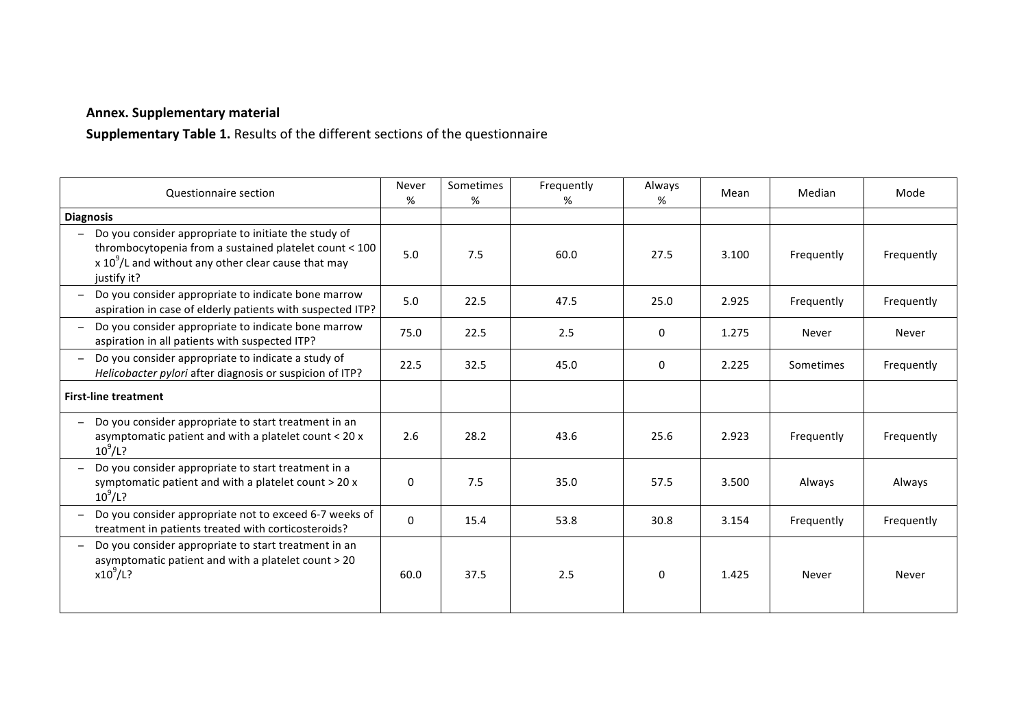## **Annex. Supplementary material**

**Supplementary Table 1.** Results of the different sections of the questionnaire

| Questionnaire section                                                                                                                                                                   | Never<br>%  | Sometimes<br>% | Frequently<br>% | Always<br>% | Mean  | Median     | Mode       |
|-----------------------------------------------------------------------------------------------------------------------------------------------------------------------------------------|-------------|----------------|-----------------|-------------|-------|------------|------------|
| <b>Diagnosis</b>                                                                                                                                                                        |             |                |                 |             |       |            |            |
| Do you consider appropriate to initiate the study of<br>thrombocytopenia from a sustained platelet count < 100<br>x $10^9$ /L and without any other clear cause that may<br>justify it? | 5.0         | 7.5            | 60.0            | 27.5        | 3.100 | Frequently | Frequently |
| Do you consider appropriate to indicate bone marrow<br>aspiration in case of elderly patients with suspected ITP?                                                                       | 5.0         | 22.5           | 47.5            | 25.0        | 2.925 | Frequently | Frequently |
| Do you consider appropriate to indicate bone marrow<br>$\qquad \qquad -$<br>aspiration in all patients with suspected ITP?                                                              | 75.0        | 22.5           | 2.5             | 0           | 1.275 | Never      | Never      |
| Do you consider appropriate to indicate a study of<br>Helicobacter pylori after diagnosis or suspicion of ITP?                                                                          | 22.5        | 32.5           | 45.0            | 0           | 2.225 | Sometimes  | Frequently |
| <b>First-line treatment</b>                                                                                                                                                             |             |                |                 |             |       |            |            |
| Do you consider appropriate to start treatment in an<br>asymptomatic patient and with a platelet count < 20 x<br>$10^9$ /L?                                                             | 2.6         | 28.2           | 43.6            | 25.6        | 2.923 | Frequently | Frequently |
| Do you consider appropriate to start treatment in a<br>symptomatic patient and with a platelet count > 20 x<br>$10^{9}$ /L?                                                             | 0           | 7.5            | 35.0            | 57.5        | 3.500 | Always     | Always     |
| Do you consider appropriate not to exceed 6-7 weeks of<br>treatment in patients treated with corticosteroids?                                                                           | $\mathbf 0$ | 15.4           | 53.8            | 30.8        | 3.154 | Frequently | Frequently |
| Do you consider appropriate to start treatment in an<br>asymptomatic patient and with a platelet count > 20<br>$x10^9$ /L?                                                              | 60.0        | 37.5           | 2.5             | 0           | 1.425 | Never      | Never      |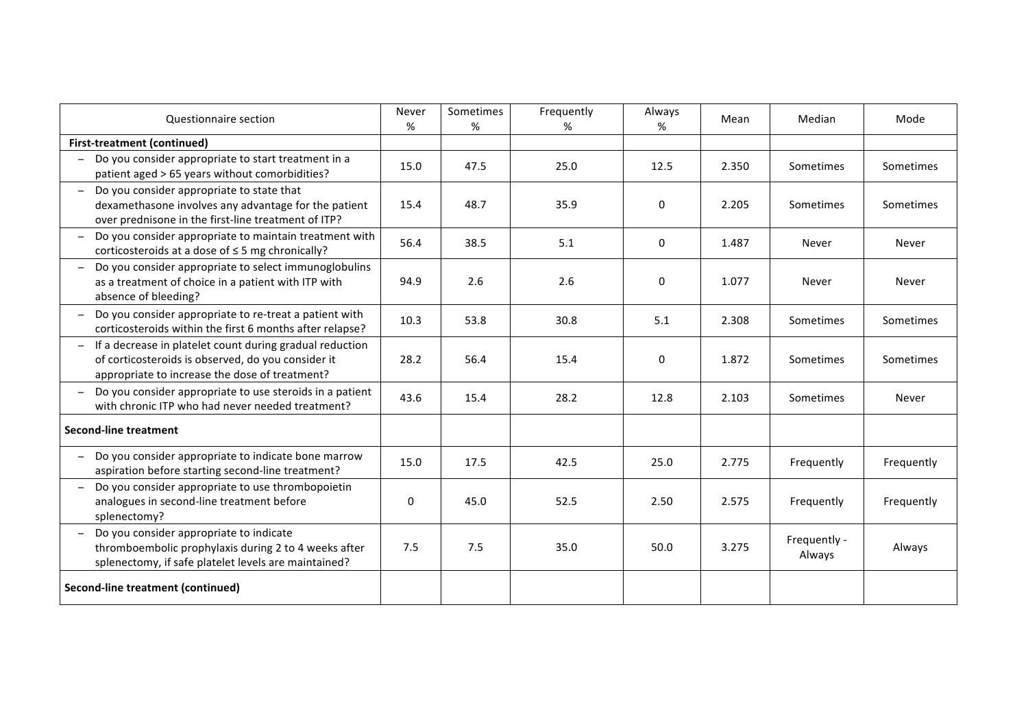| Questionnaire section                                                                                                                                            | Never<br>% | Sometimes<br>% | Frequently<br>% | Always<br>% | Mean  | Median                 | Mode       |
|------------------------------------------------------------------------------------------------------------------------------------------------------------------|------------|----------------|-----------------|-------------|-------|------------------------|------------|
| <b>First-treatment (continued)</b>                                                                                                                               |            |                |                 |             |       |                        |            |
| Do you consider appropriate to start treatment in a<br>patient aged > 65 years without comorbidities?                                                            | 15.0       | 47.5           | 25.0            | 12.5        | 2.350 | Sometimes              | Sometimes  |
| Do you consider appropriate to state that<br>dexamethasone involves any advantage for the patient<br>over prednisone in the first-line treatment of ITP?         | 15.4       | 48.7           | 35.9            | 0           | 2.205 | Sometimes              | Sometimes  |
| Do you consider appropriate to maintain treatment with<br>corticosteroids at a dose of ≤ 5 mg chronically?                                                       | 56.4       | 38.5           | 5.1             | 0           | 1.487 | Never                  | Never      |
| Do you consider appropriate to select immunoglobulins<br>as a treatment of choice in a patient with ITP with<br>absence of bleeding?                             | 94.9       | 2.6            | 2.6             | 0           | 1.077 | Never                  | Never      |
| Do you consider appropriate to re-treat a patient with<br>corticosteroids within the first 6 months after relapse?                                               | 10.3       | 53.8           | 30.8            | 5.1         | 2.308 | Sometimes              | Sometimes  |
| If a decrease in platelet count during gradual reduction<br>of corticosteroids is observed, do you consider it<br>appropriate to increase the dose of treatment? | 28.2       | 56.4           | 15.4            | 0           | 1.872 | Sometimes              | Sometimes  |
| Do you consider appropriate to use steroids in a patient<br>with chronic ITP who had never needed treatment?                                                     | 43.6       | 15.4           | 28.2            | 12.8        | 2.103 | Sometimes              | Never      |
| <b>Second-line treatment</b>                                                                                                                                     |            |                |                 |             |       |                        |            |
| Do you consider appropriate to indicate bone marrow<br>aspiration before starting second-line treatment?                                                         | 15.0       | 17.5           | 42.5            | 25.0        | 2.775 | Frequently             | Frequently |
| Do you consider appropriate to use thrombopoietin<br>analogues in second-line treatment before<br>splenectomy?                                                   | 0          | 45.0           | 52.5            | 2.50        | 2.575 | Frequently             | Frequently |
| Do you consider appropriate to indicate<br>thromboembolic prophylaxis during 2 to 4 weeks after<br>splenectomy, if safe platelet levels are maintained?          | 7.5        | 7.5            | 35.0            | 50.0        | 3.275 | Frequently -<br>Always | Always     |
| <b>Second-line treatment (continued)</b>                                                                                                                         |            |                |                 |             |       |                        |            |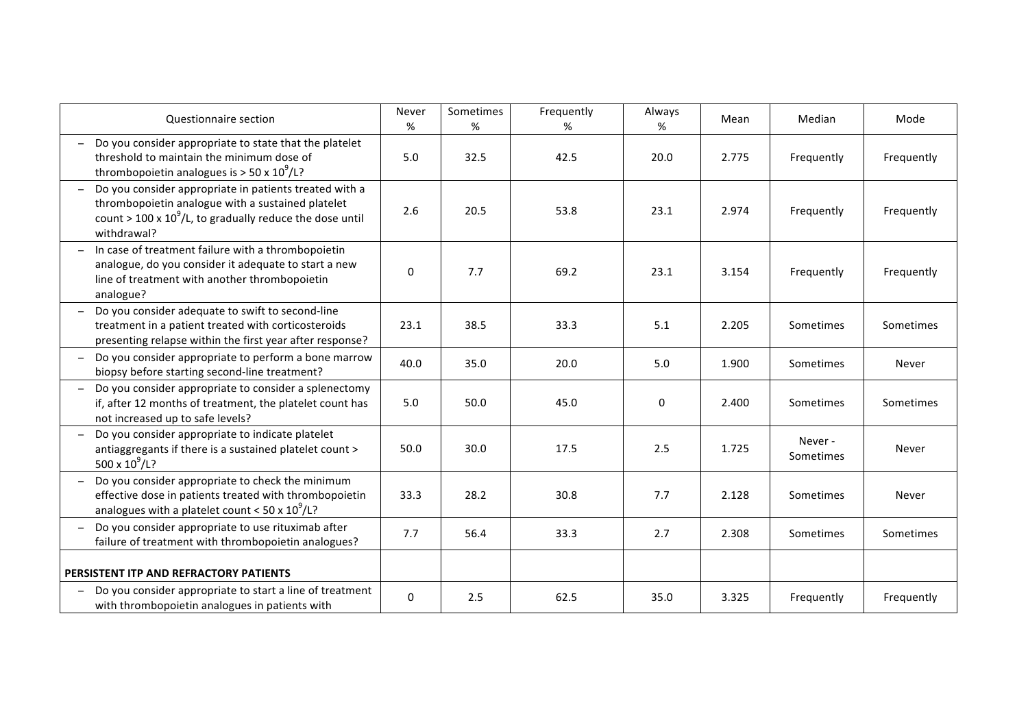| Questionnaire section                                                                                                                                                                     | Never<br>%  | Sometimes<br>% | Frequently<br>% | Always<br>% | Mean  | Median              | Mode       |
|-------------------------------------------------------------------------------------------------------------------------------------------------------------------------------------------|-------------|----------------|-----------------|-------------|-------|---------------------|------------|
| Do you consider appropriate to state that the platelet<br>threshold to maintain the minimum dose of<br>thrombopoietin analogues is $>$ 50 x 10 <sup>9</sup> /L?                           | 5.0         | 32.5           | 42.5            | 20.0        | 2.775 | Frequently          | Frequently |
| Do you consider appropriate in patients treated with a<br>thrombopoietin analogue with a sustained platelet<br>count > 100 x $10^9$ /L, to gradually reduce the dose until<br>withdrawal? | 2.6         | 20.5           | 53.8            | 23.1        | 2.974 | Frequently          | Frequently |
| In case of treatment failure with a thrombopoietin<br>analogue, do you consider it adequate to start a new<br>line of treatment with another thrombopoietin<br>analogue?                  | 0           | 7.7            | 69.2            | 23.1        | 3.154 | Frequently          | Frequently |
| Do you consider adequate to swift to second-line<br>treatment in a patient treated with corticosteroids<br>presenting relapse within the first year after response?                       | 23.1        | 38.5           | 33.3            | 5.1         | 2.205 | Sometimes           | Sometimes  |
| Do you consider appropriate to perform a bone marrow<br>biopsy before starting second-line treatment?                                                                                     | 40.0        | 35.0           | 20.0            | 5.0         | 1.900 | Sometimes           | Never      |
| Do you consider appropriate to consider a splenectomy<br>if, after 12 months of treatment, the platelet count has<br>not increased up to safe levels?                                     | 5.0         | 50.0           | 45.0            | 0           | 2.400 | Sometimes           | Sometimes  |
| Do you consider appropriate to indicate platelet<br>antiaggregants if there is a sustained platelet count ><br>500 x $10^9$ /L?                                                           | 50.0        | 30.0           | 17.5            | 2.5         | 1.725 | Never-<br>Sometimes | Never      |
| Do you consider appropriate to check the minimum<br>effective dose in patients treated with thrombopoietin<br>analogues with a platelet count < $50 \times 10^9 / L$ ?                    | 33.3        | 28.2           | 30.8            | 7.7         | 2.128 | Sometimes           | Never      |
| Do you consider appropriate to use rituximab after<br>failure of treatment with thrombopoietin analogues?                                                                                 | 7.7         | 56.4           | 33.3            | 2.7         | 2.308 | Sometimes           | Sometimes  |
| PERSISTENT ITP AND REFRACTORY PATIENTS                                                                                                                                                    |             |                |                 |             |       |                     |            |
| Do you consider appropriate to start a line of treatment<br>with thrombopoietin analogues in patients with                                                                                | $\mathbf 0$ | 2.5            | 62.5            | 35.0        | 3.325 | Frequently          | Frequently |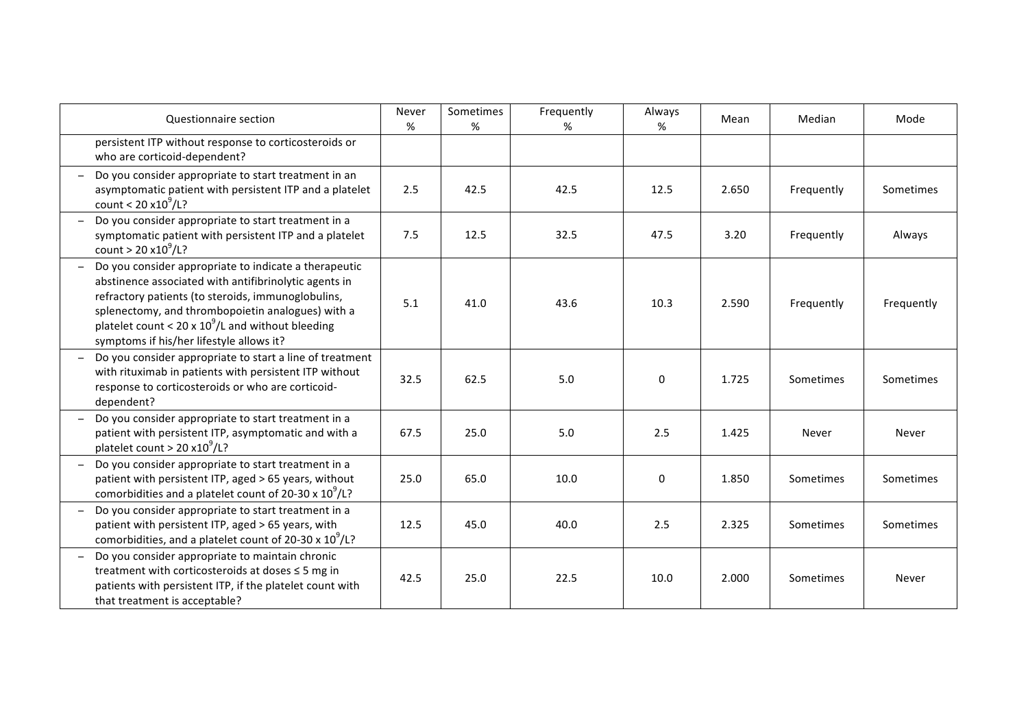| Questionnaire section                                                                                                                                                                                                                                                                                                         | Never<br>% | Sometimes<br>% | Frequently<br>% | Always<br>% | Mean  | Median     | Mode       |
|-------------------------------------------------------------------------------------------------------------------------------------------------------------------------------------------------------------------------------------------------------------------------------------------------------------------------------|------------|----------------|-----------------|-------------|-------|------------|------------|
| persistent ITP without response to corticosteroids or<br>who are corticoid-dependent?                                                                                                                                                                                                                                         |            |                |                 |             |       |            |            |
| Do you consider appropriate to start treatment in an<br>asymptomatic patient with persistent ITP and a platelet<br>count < $20 x 10^9$ /L?                                                                                                                                                                                    | 2.5        | 42.5           | 42.5            | 12.5        | 2.650 | Frequently | Sometimes  |
| Do you consider appropriate to start treatment in a<br>symptomatic patient with persistent ITP and a platelet<br>count > $20 x 10^9$ /L?                                                                                                                                                                                      | 7.5        | 12.5           | 32.5            | 47.5        | 3.20  | Frequently | Always     |
| Do you consider appropriate to indicate a therapeutic<br>abstinence associated with antifibrinolytic agents in<br>refractory patients (to steroids, immunoglobulins,<br>splenectomy, and thrombopoietin analogues) with a<br>platelet count < 20 x $10^9$ /L and without bleeding<br>symptoms if his/her lifestyle allows it? | 5.1        | 41.0           | 43.6            | 10.3        | 2.590 | Frequently | Frequently |
| Do you consider appropriate to start a line of treatment<br>with rituximab in patients with persistent ITP without<br>response to corticosteroids or who are corticoid-<br>dependent?                                                                                                                                         | 32.5       | 62.5           | 5.0             | $\mathbf 0$ | 1.725 | Sometimes  | Sometimes  |
| Do you consider appropriate to start treatment in a<br>patient with persistent ITP, asymptomatic and with a<br>platelet count > 20 $x10^9$ /L?                                                                                                                                                                                | 67.5       | 25.0           | 5.0             | 2.5         | 1.425 | Never      | Never      |
| Do you consider appropriate to start treatment in a<br>patient with persistent ITP, aged > 65 years, without<br>comorbidities and a platelet count of 20-30 x $10^9$ /L?                                                                                                                                                      | 25.0       | 65.0           | 10.0            | 0           | 1.850 | Sometimes  | Sometimes  |
| Do you consider appropriate to start treatment in a<br>patient with persistent ITP, aged > 65 years, with<br>comorbidities, and a platelet count of 20-30 x $10^9$ /L?                                                                                                                                                        | 12.5       | 45.0           | 40.0            | 2.5         | 2.325 | Sometimes  | Sometimes  |
| Do you consider appropriate to maintain chronic<br>treatment with corticosteroids at doses ≤ 5 mg in<br>patients with persistent ITP, if the platelet count with<br>that treatment is acceptable?                                                                                                                             | 42.5       | 25.0           | 22.5            | 10.0        | 2.000 | Sometimes  | Never      |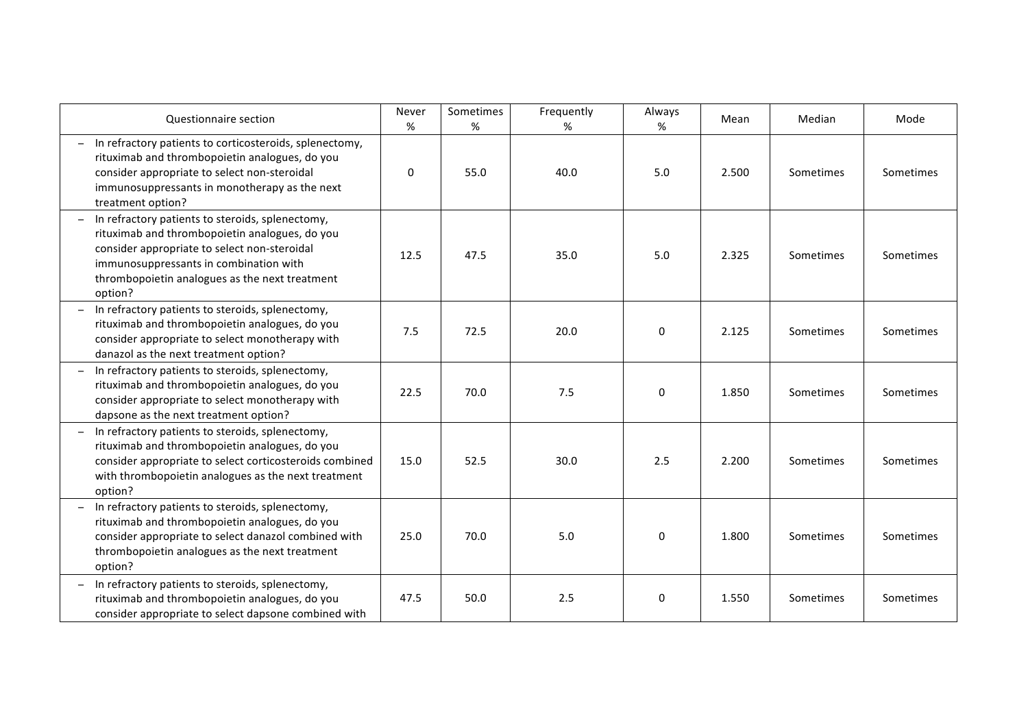| Questionnaire section                                                                                                                                                                                                                                     | Never<br>%   | Sometimes<br>% | Frequently<br>% | Always<br>% | Mean  | Median    | Mode      |
|-----------------------------------------------------------------------------------------------------------------------------------------------------------------------------------------------------------------------------------------------------------|--------------|----------------|-----------------|-------------|-------|-----------|-----------|
| In refractory patients to corticosteroids, splenectomy,<br>rituximab and thrombopoietin analogues, do you<br>consider appropriate to select non-steroidal<br>immunosuppressants in monotherapy as the next<br>treatment option?                           | $\mathbf{0}$ | 55.0           | 40.0            | 5.0         | 2.500 | Sometimes | Sometimes |
| In refractory patients to steroids, splenectomy,<br>rituximab and thrombopoietin analogues, do you<br>consider appropriate to select non-steroidal<br>immunosuppressants in combination with<br>thrombopoietin analogues as the next treatment<br>option? | 12.5         | 47.5           | 35.0            | 5.0         | 2.325 | Sometimes | Sometimes |
| In refractory patients to steroids, splenectomy,<br>rituximab and thrombopoietin analogues, do you<br>consider appropriate to select monotherapy with<br>danazol as the next treatment option?                                                            | 7.5          | 72.5           | 20.0            | 0           | 2.125 | Sometimes | Sometimes |
| In refractory patients to steroids, splenectomy,<br>rituximab and thrombopoietin analogues, do you<br>consider appropriate to select monotherapy with<br>dapsone as the next treatment option?                                                            | 22.5         | 70.0           | 7.5             | 0           | 1.850 | Sometimes | Sometimes |
| In refractory patients to steroids, splenectomy,<br>rituximab and thrombopoietin analogues, do you<br>consider appropriate to select corticosteroids combined<br>with thrombopoietin analogues as the next treatment<br>option?                           | 15.0         | 52.5           | 30.0            | 2.5         | 2.200 | Sometimes | Sometimes |
| In refractory patients to steroids, splenectomy,<br>rituximab and thrombopoietin analogues, do you<br>consider appropriate to select danazol combined with<br>thrombopoietin analogues as the next treatment<br>option?                                   | 25.0         | 70.0           | 5.0             | 0           | 1.800 | Sometimes | Sometimes |
| In refractory patients to steroids, splenectomy,<br>rituximab and thrombopoietin analogues, do you<br>consider appropriate to select dapsone combined with                                                                                                | 47.5         | 50.0           | 2.5             | 0           | 1.550 | Sometimes | Sometimes |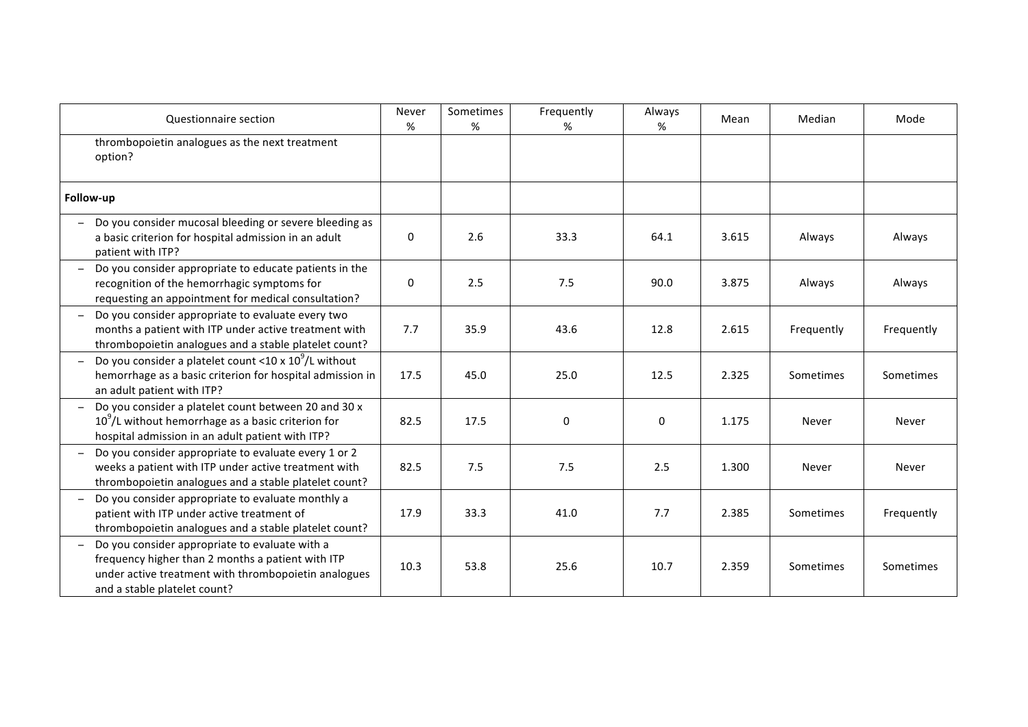| Questionnaire section                                                                                                                                                                       | Never<br>%  | Sometimes<br>% | Frequently<br>% | Always<br>% | Mean  | Median     | Mode       |
|---------------------------------------------------------------------------------------------------------------------------------------------------------------------------------------------|-------------|----------------|-----------------|-------------|-------|------------|------------|
| thrombopoietin analogues as the next treatment<br>option?                                                                                                                                   |             |                |                 |             |       |            |            |
| Follow-up                                                                                                                                                                                   |             |                |                 |             |       |            |            |
| Do you consider mucosal bleeding or severe bleeding as<br>a basic criterion for hospital admission in an adult<br>patient with ITP?                                                         | $\mathbf 0$ | 2.6            | 33.3            | 64.1        | 3.615 | Always     | Always     |
| Do you consider appropriate to educate patients in the<br>recognition of the hemorrhagic symptoms for<br>requesting an appointment for medical consultation?                                | $\mathbf 0$ | 2.5            | 7.5             | 90.0        | 3.875 | Always     | Always     |
| Do you consider appropriate to evaluate every two<br>months a patient with ITP under active treatment with<br>thrombopoietin analogues and a stable platelet count?                         | 7.7         | 35.9           | 43.6            | 12.8        | 2.615 | Frequently | Frequently |
| Do you consider a platelet count <10 x $10^9$ /L without<br>hemorrhage as a basic criterion for hospital admission in<br>an adult patient with ITP?                                         | 17.5        | 45.0           | 25.0            | 12.5        | 2.325 | Sometimes  | Sometimes  |
| Do you consider a platelet count between 20 and 30 x<br>$10^9$ /L without hemorrhage as a basic criterion for<br>hospital admission in an adult patient with ITP?                           | 82.5        | 17.5           | 0               | 0           | 1.175 | Never      | Never      |
| Do you consider appropriate to evaluate every 1 or 2<br>weeks a patient with ITP under active treatment with<br>thrombopoietin analogues and a stable platelet count?                       | 82.5        | 7.5            | 7.5             | 2.5         | 1.300 | Never      | Never      |
| Do you consider appropriate to evaluate monthly a<br>patient with ITP under active treatment of<br>thrombopoietin analogues and a stable platelet count?                                    | 17.9        | 33.3           | 41.0            | 7.7         | 2.385 | Sometimes  | Frequently |
| Do you consider appropriate to evaluate with a<br>frequency higher than 2 months a patient with ITP<br>under active treatment with thrombopoietin analogues<br>and a stable platelet count? | 10.3        | 53.8           | 25.6            | 10.7        | 2.359 | Sometimes  | Sometimes  |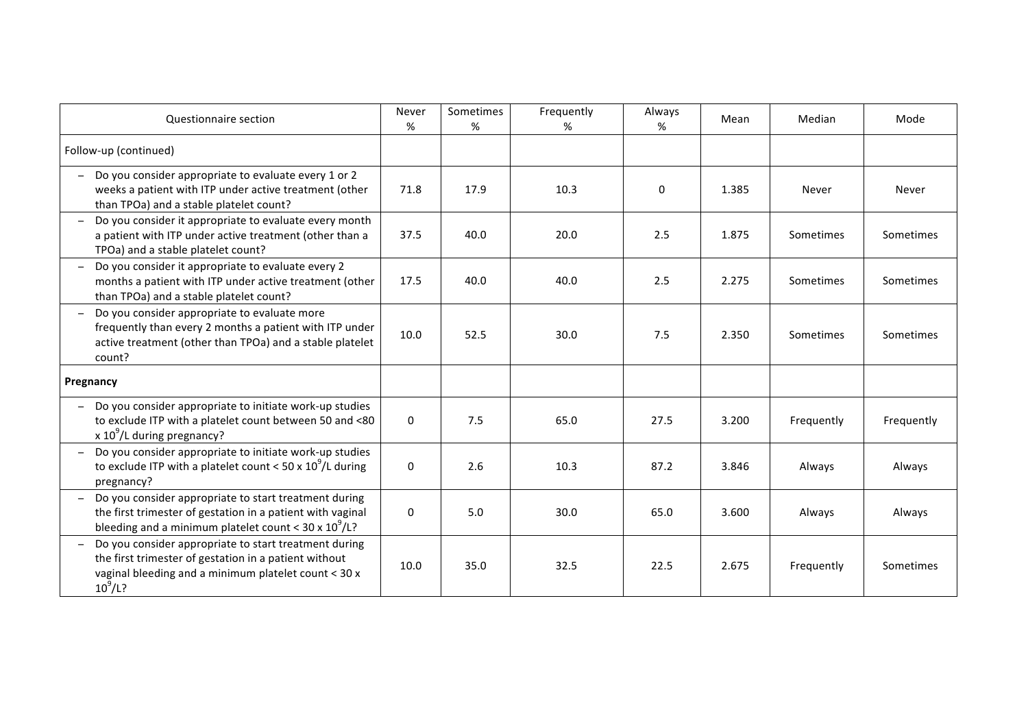| Questionnaire section                                                                                                                                                                  | Never<br>%  | Sometimes<br>% | Frequently<br>% | Always<br>% | Mean  | Median     | Mode       |
|----------------------------------------------------------------------------------------------------------------------------------------------------------------------------------------|-------------|----------------|-----------------|-------------|-------|------------|------------|
| Follow-up (continued)                                                                                                                                                                  |             |                |                 |             |       |            |            |
| Do you consider appropriate to evaluate every 1 or 2<br>weeks a patient with ITP under active treatment (other<br>than TPOa) and a stable platelet count?                              | 71.8        | 17.9           | 10.3            | 0           | 1.385 | Never      | Never      |
| Do you consider it appropriate to evaluate every month<br>a patient with ITP under active treatment (other than a<br>TPOa) and a stable platelet count?                                | 37.5        | 40.0           | 20.0            | 2.5         | 1.875 | Sometimes  | Sometimes  |
| Do you consider it appropriate to evaluate every 2<br>months a patient with ITP under active treatment (other<br>than TPOa) and a stable platelet count?                               | 17.5        | 40.0           | 40.0            | 2.5         | 2.275 | Sometimes  | Sometimes  |
| Do you consider appropriate to evaluate more<br>frequently than every 2 months a patient with ITP under<br>active treatment (other than TPOa) and a stable platelet<br>count?          | 10.0        | 52.5           | 30.0            | 7.5         | 2.350 | Sometimes  | Sometimes  |
| Pregnancy                                                                                                                                                                              |             |                |                 |             |       |            |            |
| Do you consider appropriate to initiate work-up studies<br>to exclude ITP with a platelet count between 50 and <80<br>x $10^9$ /L during pregnancy?                                    | $\mathbf 0$ | 7.5            | 65.0            | 27.5        | 3.200 | Frequently | Frequently |
| Do you consider appropriate to initiate work-up studies<br>to exclude ITP with a platelet count < 50 x $10^9$ /L during<br>pregnancy?                                                  | $\mathbf 0$ | 2.6            | 10.3            | 87.2        | 3.846 | Always     | Always     |
| Do you consider appropriate to start treatment during<br>the first trimester of gestation in a patient with vaginal<br>bleeding and a minimum platelet count < $30 \times 10^9 / L$ ?  | $\pmb{0}$   | 5.0            | 30.0            | 65.0        | 3.600 | Always     | Always     |
| Do you consider appropriate to start treatment during<br>the first trimester of gestation in a patient without<br>vaginal bleeding and a minimum platelet count < 30 x<br>$10^{9}/L$ ? | 10.0        | 35.0           | 32.5            | 22.5        | 2.675 | Frequently | Sometimes  |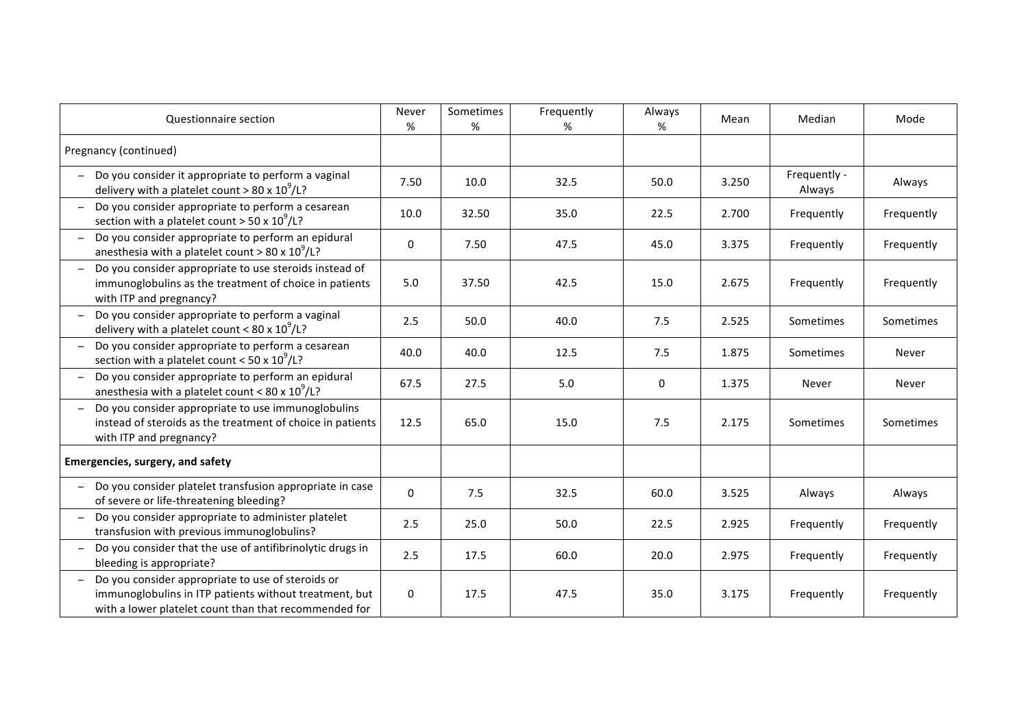| Questionnaire section                                                                                                                                                | Never<br>%  | Sometimes<br>% | Frequently<br>% | Always<br>% | Mean  | Median                 | Mode       |
|----------------------------------------------------------------------------------------------------------------------------------------------------------------------|-------------|----------------|-----------------|-------------|-------|------------------------|------------|
| Pregnancy (continued)                                                                                                                                                |             |                |                 |             |       |                        |            |
| Do you consider it appropriate to perform a vaginal<br>delivery with a platelet count > 80 x $10^9$ /L?                                                              | 7.50        | 10.0           | 32.5            | 50.0        | 3.250 | Frequently -<br>Always | Always     |
| Do you consider appropriate to perform a cesarean<br>section with a platelet count > 50 x $10^9$ /L?                                                                 | 10.0        | 32.50          | 35.0            | 22.5        | 2.700 | Frequently             | Frequently |
| Do you consider appropriate to perform an epidural<br>anesthesia with a platelet count > 80 x $10^9$ /L?                                                             | 0           | 7.50           | 47.5            | 45.0        | 3.375 | Frequently             | Frequently |
| Do you consider appropriate to use steroids instead of<br>immunoglobulins as the treatment of choice in patients<br>with ITP and pregnancy?                          | 5.0         | 37.50          | 42.5            | 15.0        | 2.675 | Frequently             | Frequently |
| Do you consider appropriate to perform a vaginal<br>delivery with a platelet count < 80 x $10^9$ /L?                                                                 | 2.5         | 50.0           | 40.0            | 7.5         | 2.525 | Sometimes              | Sometimes  |
| Do you consider appropriate to perform a cesarean<br>section with a platelet count < $50 \times 10^9$ /L?                                                            | 40.0        | 40.0           | 12.5            | 7.5         | 1.875 | Sometimes              | Never      |
| Do you consider appropriate to perform an epidural<br>anesthesia with a platelet count < 80 x $10^9$ /L?                                                             | 67.5        | 27.5           | 5.0             | 0           | 1.375 | Never                  | Never      |
| Do you consider appropriate to use immunoglobulins<br>instead of steroids as the treatment of choice in patients<br>with ITP and pregnancy?                          | 12.5        | 65.0           | 15.0            | 7.5         | 2.175 | Sometimes              | Sometimes  |
| Emergencies, surgery, and safety                                                                                                                                     |             |                |                 |             |       |                        |            |
| Do you consider platelet transfusion appropriate in case<br>of severe or life-threatening bleeding?                                                                  | $\mathbf 0$ | 7.5            | 32.5            | 60.0        | 3.525 | Always                 | Always     |
| Do you consider appropriate to administer platelet<br>transfusion with previous immunoglobulins?                                                                     | 2.5         | 25.0           | 50.0            | 22.5        | 2.925 | Frequently             | Frequently |
| Do you consider that the use of antifibrinolytic drugs in<br>bleeding is appropriate?                                                                                | 2.5         | 17.5           | 60.0            | 20.0        | 2.975 | Frequently             | Frequently |
| Do you consider appropriate to use of steroids or<br>immunoglobulins in ITP patients without treatment, but<br>with a lower platelet count than that recommended for | 0           | 17.5           | 47.5            | 35.0        | 3.175 | Frequently             | Frequently |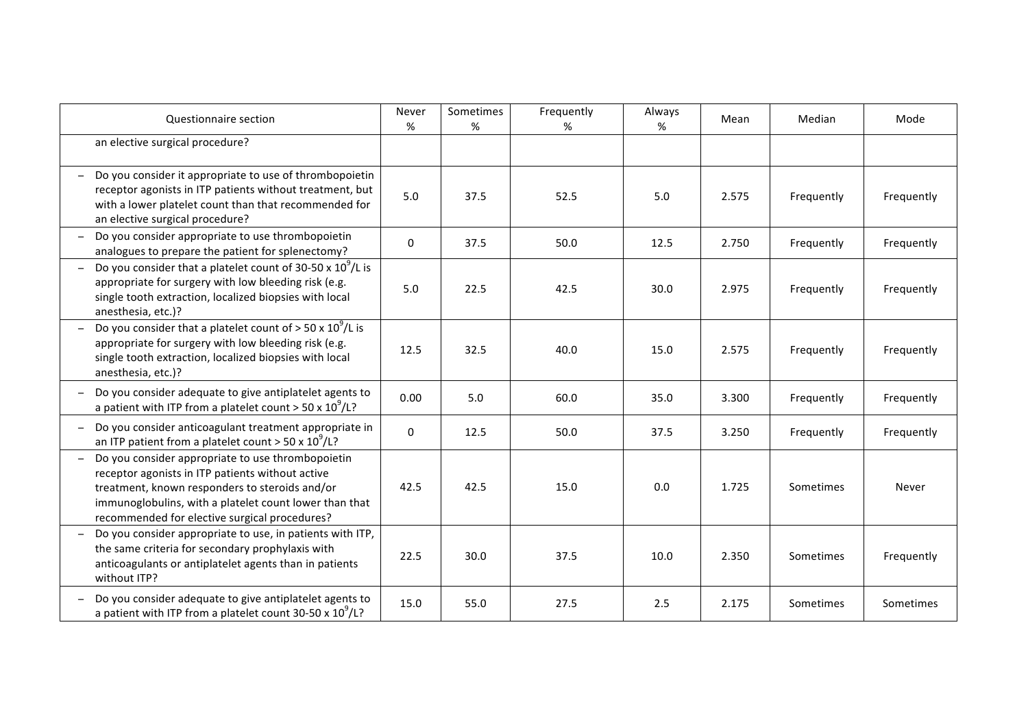| Questionnaire section                                                                                                                                                                                                                                              | Never<br>%   | Sometimes<br>% | Frequently<br>% | Always<br>% | Mean  | Median     | Mode       |
|--------------------------------------------------------------------------------------------------------------------------------------------------------------------------------------------------------------------------------------------------------------------|--------------|----------------|-----------------|-------------|-------|------------|------------|
| an elective surgical procedure?                                                                                                                                                                                                                                    |              |                |                 |             |       |            |            |
| Do you consider it appropriate to use of thrombopoietin<br>receptor agonists in ITP patients without treatment, but<br>with a lower platelet count than that recommended for<br>an elective surgical procedure?                                                    | 5.0          | 37.5           | 52.5            | 5.0         | 2.575 | Frequently | Frequently |
| Do you consider appropriate to use thrombopoietin<br>analogues to prepare the patient for splenectomy?                                                                                                                                                             | $\mathbf 0$  | 37.5           | 50.0            | 12.5        | 2.750 | Frequently | Frequently |
| Do you consider that a platelet count of 30-50 x $10^9$ /L is<br>appropriate for surgery with low bleeding risk (e.g.<br>single tooth extraction, localized biopsies with local<br>anesthesia, etc.)?                                                              | 5.0          | 22.5           | 42.5            | 30.0        | 2.975 | Frequently | Frequently |
| Do you consider that a platelet count of $> 50 \times 10^9$ /L is<br>appropriate for surgery with low bleeding risk (e.g.<br>single tooth extraction, localized biopsies with local<br>anesthesia, etc.)?                                                          | 12.5         | 32.5           | 40.0            | 15.0        | 2.575 | Frequently | Frequently |
| Do you consider adequate to give antiplatelet agents to<br>a patient with ITP from a platelet count > 50 x $10^9$ /L?                                                                                                                                              | 0.00         | 5.0            | 60.0            | 35.0        | 3.300 | Frequently | Frequently |
| Do you consider anticoagulant treatment appropriate in<br>an ITP patient from a platelet count > 50 x $10^9$ /L?                                                                                                                                                   | $\mathbf{0}$ | 12.5           | 50.0            | 37.5        | 3.250 | Frequently | Frequently |
| Do you consider appropriate to use thrombopoietin<br>receptor agonists in ITP patients without active<br>treatment, known responders to steroids and/or<br>immunoglobulins, with a platelet count lower than that<br>recommended for elective surgical procedures? | 42.5         | 42.5           | 15.0            | 0.0         | 1.725 | Sometimes  | Never      |
| Do you consider appropriate to use, in patients with ITP,<br>the same criteria for secondary prophylaxis with<br>anticoagulants or antiplatelet agents than in patients<br>without ITP?                                                                            | 22.5         | 30.0           | 37.5            | 10.0        | 2.350 | Sometimes  | Frequently |
| Do you consider adequate to give antiplatelet agents to<br>a patient with ITP from a platelet count 30-50 x $10^9$ /L?                                                                                                                                             | 15.0         | 55.0           | 27.5            | 2.5         | 2.175 | Sometimes  | Sometimes  |